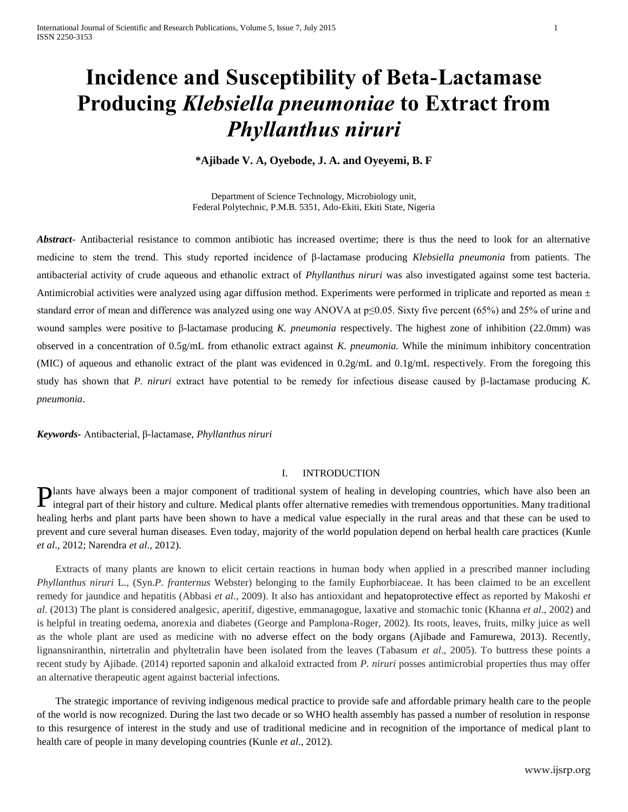# **Incidence and Susceptibility of Beta-Lactamase Producing** *Klebsiella pneumoniae* **to Extract from**  *Phyllanthus niruri*

**\*Ajibade V. A, Oyebode, J. A. and Oyeyemi, B. F**

Department of Science Technology, Microbiology unit, Federal Polytechnic, P.M.B. 5351, Ado-Ekiti, Ekiti State, Nigeria

*Abstract*- Antibacterial resistance to common antibiotic has increased overtime; there is thus the need to look for an alternative medicine to stem the trend. This study reported incidence of β-lactamase producing *Klebsiella pneumonia* from patients. The antibacterial activity of crude aqueous and ethanolic extract of *Phyllanthus niruri* was also investigated against some test bacteria. Antimicrobial activities were analyzed using agar diffusion method. Experiments were performed in triplicate and reported as mean  $\pm$ standard error of mean and difference was analyzed using one way ANOVA at p≤0.05. Sixty five percent (65%) and 25% of urine and wound samples were positive to β-lactamase producing *K. pneumonia* respectively. The highest zone of inhibition (22.0mm) was observed in a concentration of 0.5g/mL from ethanolic extract against *K. pneumonia.* While the minimum inhibitory concentration (MIC) of aqueous and ethanolic extract of the plant was evidenced in 0.2g/mL and 0.1g/mL respectively. From the foregoing this study has shown that *P. niruri* extract have potential to be remedy for infectious disease caused by β-lactamase producing *K. pneumonia*.

*Keywords-* Antibacterial, β-lactamase, *Phyllanthus niruri*

# I. INTRODUCTION

lants have always been a major component of traditional system of healing in developing countries, which have also been an **Plants have always been a major component of traditional system of healing in developing countries, which have also been an integral part of their history and culture. Medical plants offer alternative remedies with tremen** healing herbs and plant parts have been shown to have a medical value especially in the rural areas and that these can be used to prevent and cure several human diseases. Even today, majority of the world population depend on herbal health care practices (Kunle *et al*., 2012; Narendra *et al*., 2012).

Extracts of many plants are known to elicit certain reactions in human body when applied in a prescribed manner including *Phyllanthus niruri* L., (Syn.*P. franternus* Webster) belonging to the family Euphorbiaceae. It has been claimed to be an excellent remedy for jaundice and hepatitis (Abbasi *et al*., 2009). It also has antioxidant and hepatoprotective effect as reported by Makoshi *et al*. (2013) The plant is considered analgesic, aperitif, digestive, emmanagogue, laxative and stomachic tonic (Khanna *et al*., 2002) and is helpful in treating oedema, anorexia and diabetes (George and Pamplona-Roger, 2002). Its roots, leaves, fruits, milky juice as well as the whole plant are used as medicine with no adverse effect on the body organs (Ajibade and Famurewa, 2013). Recently, lignansniranthin, nirtetralin and phyltetralin have been isolated from the leaves (Tabasum *et al*., 2005). To buttress these points a recent study by Ajibade. (2014) reported saponin and alkaloid extracted from *P. niruri* posses antimicrobial properties thus may offer an alternative therapeutic agent against bacterial infections.

The strategic importance of reviving indigenous medical practice to provide safe and affordable primary health care to the people of the world is now recognized. During the last two decade or so WHO health assembly has passed a number of resolution in response to this resurgence of interest in the study and use of traditional medicine and in recognition of the importance of medical plant to health care of people in many developing countries (Kunle *et al*., 2012).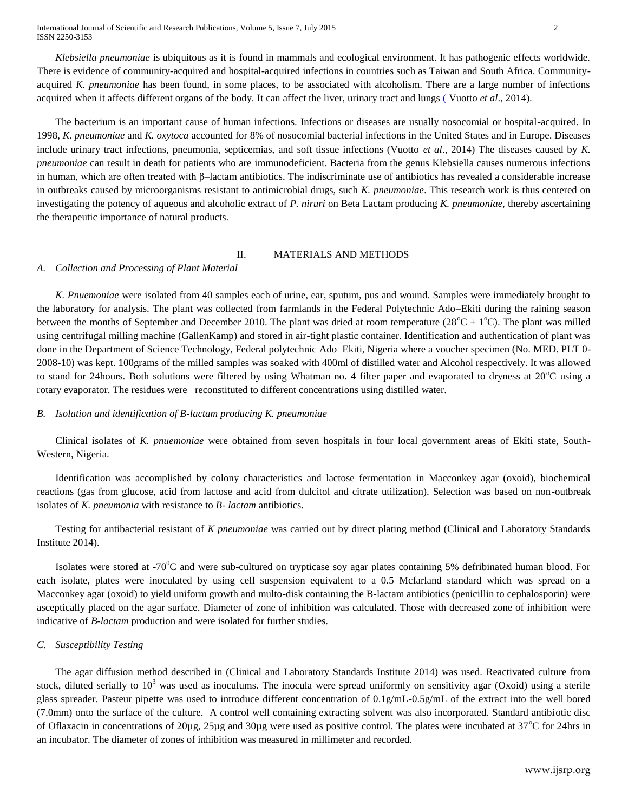International Journal of Scientific and Research Publications, Volume 5, Issue 7, July 2015 2 ISSN 2250-3153

*Klebsiella pneumoniae* is ubiquitous as it is found in mammals and ecological environment. It has pathogenic effects worldwide. There is evidence of community-acquired and hospital-acquired infections in countries such as Taiwan and South Africa. Communityacquired *K. pneumoniae* has been found, in some places, to be associated with alcoholism. There are a large number of infections acquired when it affects different organs of the body. It can affect the liver, urinary tract and lungs ( Vuotto *et al*[., 2014\).](http://www.cdc.gov/ncidod/eid/vol8no2/01-0025.htm)

The bacterium is an important cause of human infections. Infections or diseases are usually nosocomial or hospital-acquired. In 1998, *K. pneumoniae* and *K. oxytoca* accounted for 8% of nosocomial bacterial infections in the United States and in Europe. Diseases include urinary tract infections, pneumonia, septicemias, and soft tissue infections (Vuotto *et al*., 2014) The diseases caused by *K. pneumoniae* can result in death for patients who are immunodeficient. Bacteria from the genus Klebsiella causes numerous infections in human, which are often treated with β–lactam antibiotics. The indiscriminate use of antibiotics has revealed a considerable increase in outbreaks caused by microorganisms resistant to antimicrobial drugs, such *K. pneumoniae*. This research work is thus centered on investigating the potency of aqueous and alcoholic extract of *P. niruri* on Beta Lactam producing *K. pneumoniae,* thereby ascertaining the therapeutic importance of natural products.

## II. MATERIALS AND METHODS

#### *A. Collection and Processing of Plant Material*

*K. Pnuemoniae* were isolated from 40 samples each of urine, ear, sputum, pus and wound. Samples were immediately brought to the laboratory for analysis. The plant was collected from farmlands in the Federal Polytechnic Ado–Ekiti during the raining season between the months of September and December 2010. The plant was dried at room temperature ( $28^{\circ}$ C  $\pm$  1 $^{\circ}$ C). The plant was milled using centrifugal milling machine (GallenKamp) and stored in air-tight plastic container. Identification and authentication of plant was done in the Department of Science Technology, Federal polytechnic Ado–Ekiti, Nigeria where a voucher specimen (No. MED. PLT 0- 2008-10) was kept. 100grams of the milled samples was soaked with 400ml of distilled water and Alcohol respectively. It was allowed to stand for 24hours. Both solutions were filtered by using Whatman no. 4 filter paper and evaporated to dryness at  $20^{\circ}$ C using a rotary evaporator. The residues were reconstituted to different concentrations using distilled water.

## *B. Isolation and identification of B-lactam producing K. pneumoniae*

Clinical isolates of *K. pnuemoniae* were obtained from seven hospitals in four local government areas of Ekiti state, South-Western, Nigeria.

Identification was accomplished by colony characteristics and lactose fermentation in Macconkey agar (oxoid), biochemical reactions (gas from glucose, acid from lactose and acid from dulcitol and citrate utilization). Selection was based on non-outbreak isolates of *K. pneumonia* with resistance to *B- lactam* antibiotics.

Testing for antibacterial resistant of *K pneumoniae* was carried out by direct plating method (Clinical and Laboratory Standards Institute 2014).

Isolates were stored at -70 $\rm{^0C}$  and were sub-cultured on trypticase soy agar plates containing 5% defribinated human blood. For each isolate, plates were inoculated by using cell suspension equivalent to a 0.5 Mcfarland standard which was spread on a Macconkey agar (oxoid) to yield uniform growth and multo-disk containing the B-lactam antibiotics (penicillin to cephalosporin) were asceptically placed on the agar surface. Diameter of zone of inhibition was calculated. Those with decreased zone of inhibition were indicative of *B-lactam* production and were isolated for further studies.

#### *C. Susceptibility Testing*

The agar diffusion method described in (Clinical and Laboratory Standards Institute 2014) was used. Reactivated culture from stock, diluted serially to  $10<sup>3</sup>$  was used as inoculums. The inocula were spread uniformly on sensitivity agar (Oxoid) using a sterile glass spreader. Pasteur pipette was used to introduce different concentration of 0.1g/mL-0.5g/mL of the extract into the well bored (7.0mm) onto the surface of the culture. A control well containing extracting solvent was also incorporated. Standard antibiotic disc of Oflaxacin in concentrations of  $20\mu$ g,  $25\mu$ g and  $30\mu$ g were used as positive control. The plates were incubated at  $37^{\circ}$ C for 24hrs in an incubator. The diameter of zones of inhibition was measured in millimeter and recorded.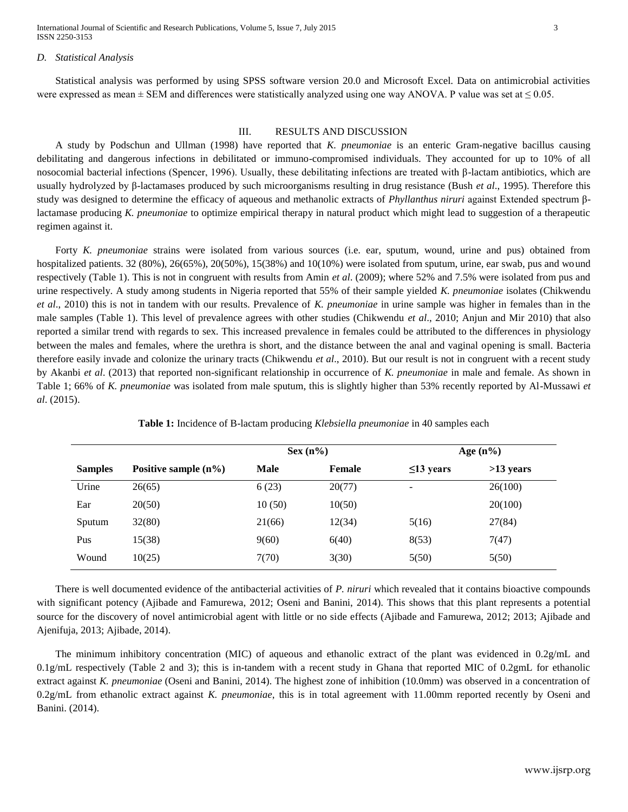International Journal of Scientific and Research Publications, Volume 5, Issue 7, July 2015 3 ISSN 2250-3153

#### *D. Statistical Analysis*

Statistical analysis was performed by using SPSS software version 20.0 and Microsoft Excel. Data on antimicrobial activities were expressed as mean  $\pm$  SEM and differences were statistically analyzed using one way ANOVA. P value was set at  $\leq$  0.05.

#### III. RESULTS AND DISCUSSION

A study by Podschun and Ullman (1998) have reported that *K. pneumoniae* is an enteric Gram-negative bacillus causing debilitating and dangerous infections in debilitated or immuno-compromised individuals. They accounted for up to 10% of all nosocomial bacterial infections (Spencer, 1996). Usually, these debilitating infections are treated with β-lactam antibiotics, which are usually hydrolyzed by β-lactamases produced by such microorganisms resulting in drug resistance (Bush *et al*., 1995). Therefore this study was designed to determine the efficacy of aqueous and methanolic extracts of *Phyllanthus niruri* against Extended spectrum βlactamase producing *K. pneumoniae* to optimize empirical therapy in natural product which might lead to suggestion of a therapeutic regimen against it.

Forty *K. pneumoniae* strains were isolated from various sources (i.e. ear, sputum, wound, urine and pus) obtained from hospitalized patients. 32 (80%), 26(65%), 20(50%), 15(38%) and 10(10%) were isolated from sputum, urine, ear swab, pus and wound respectively (Table 1). This is not in congruent with results from Amin *et al*. (2009); where 52% and 7.5% were isolated from pus and urine respectively. A study among students in Nigeria reported that 55% of their sample yielded *K. pneumoniae* isolates (Chikwendu *et al*., 2010) this is not in tandem with our results. Prevalence of *K. pneumoniae* in urine sample was higher in females than in the male samples (Table 1). This level of prevalence agrees with other studies (Chikwendu *et al*., 2010; Anjun and Mir 2010) that also reported a similar trend with regards to sex. This increased prevalence in females could be attributed to the differences in physiology between the males and females, where the urethra is short, and the distance between the anal and vaginal opening is small. Bacteria therefore easily invade and colonize the urinary tracts (Chikwendu *et al*., 2010). But our result is not in congruent with a recent study by Akanbi *et al*. (2013) that reported non-significant relationship in occurrence of *K. pneumoniae* in male and female. As shown in Table 1; 66% of *K. pneumoniae* was isolated from male sputum, this is slightly higher than 53% recently reported by Al-Mussawi *et al*. (2015).

|                |                         | $Sex(n\%)$ |               | Age $(n\%)$              |             |
|----------------|-------------------------|------------|---------------|--------------------------|-------------|
| <b>Samples</b> | Positive sample $(n\%)$ | Male       | <b>Female</b> | $\leq$ 13 years          | $>13$ years |
| Urine          | 26(65)                  | 6(23)      | 20(77)        | $\overline{\phantom{a}}$ | 26(100)     |
| Ear            | 20(50)                  | 10(50)     | 10(50)        |                          | 20(100)     |
| Sputum         | 32(80)                  | 21(66)     | 12(34)        | 5(16)                    | 27(84)      |
| Pus            | 15(38)                  | 9(60)      | 6(40)         | 8(53)                    | 7(47)       |
| Wound          | 10(25)                  | 7(70)      | 3(30)         | 5(50)                    | 5(50)       |

**Table 1:** Incidence of B-lactam producing *Klebsiella pneumoniae* in 40 samples each

There is well documented evidence of the antibacterial activities of *P. niruri* which revealed that it contains bioactive compounds with significant potency (Ajibade and Famurewa, 2012; Oseni and Banini, 2014). This shows that this plant represents a potential source for the discovery of novel antimicrobial agent with little or no side effects (Ajibade and Famurewa, 2012; 2013; Ajibade and Ajenifuja, 2013; Ajibade, 2014).

The minimum inhibitory concentration (MIC) of aqueous and ethanolic extract of the plant was evidenced in 0.2g/mL and 0.1g/mL respectively (Table 2 and 3); this is in-tandem with a recent study in Ghana that reported MIC of 0.2gmL for ethanolic extract against *K. pneumoniae* (Oseni and Banini, 2014). The highest zone of inhibition (10.0mm) was observed in a concentration of 0.2g/mL from ethanolic extract against *K. pneumoniae*, this is in total agreement with 11.00mm reported recently by Oseni and Banini. (2014).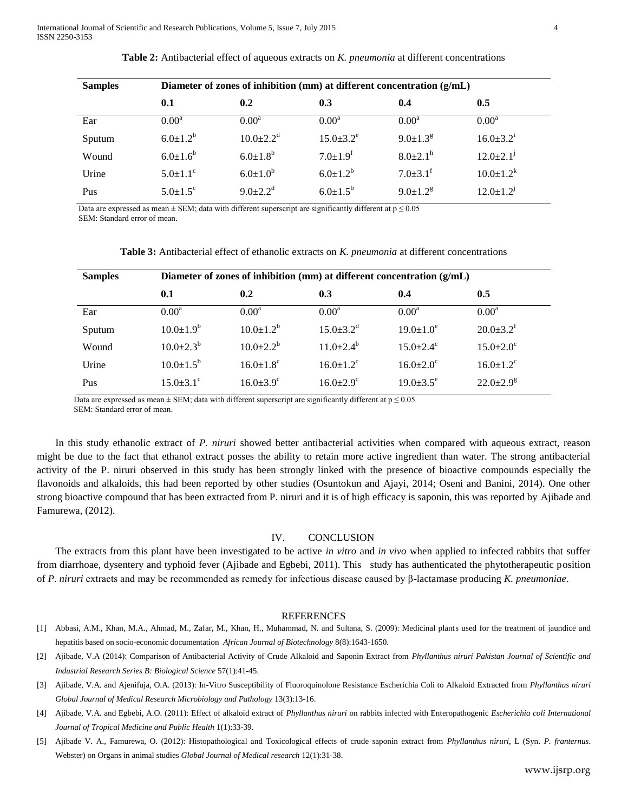| <b>Samples</b> | Diameter of zones of inhibition (mm) at different concentration (g/mL) |                            |                            |                            |                             |  |  |
|----------------|------------------------------------------------------------------------|----------------------------|----------------------------|----------------------------|-----------------------------|--|--|
|                | 0.1                                                                    | 0.2                        | 0.3                        | 0.4                        | 0.5                         |  |  |
| Ear            | 0.00 <sup>a</sup>                                                      | $0.00^{\rm a}$             | $0.00^{\rm a}$             | 0.00 <sup>a</sup>          | $0.00^{\rm a}$              |  |  |
| Sputum         | $6.0 \pm 1.2^b$                                                        | $10.0 \pm 2.2^d$           | $15.0 \pm 3.2^e$           | $9.0 \pm 1.3$ <sup>g</sup> | $16.0 \pm 3.2^i$            |  |  |
| Wound          | $6.0 \pm 1.6^b$                                                        | $6.0 \pm 1.8$ <sup>b</sup> | $7.0 \pm 1.9$ <sup>f</sup> | $8.0 \pm 2.1$ <sup>h</sup> | $12.0 \pm 2.1$ <sup>j</sup> |  |  |
| Urine          | $5.0 \pm 1.1$ <sup>c</sup>                                             | $6.0 \pm 1.0^{b}$          | $6.0 \pm 1.2^b$            | $7.0 \pm 3.1$ <sup>f</sup> | $10.0 \pm 1.2^k$            |  |  |
| Pus            | $5.0 \pm 1.5$ <sup>c</sup>                                             | $9.0 \pm 2.2^d$            | $6.0{\pm}1.5^{\rm b}$      | $9.0 \pm 1.2$ <sup>g</sup> | $12.0 \pm 1.2$ <sup>J</sup> |  |  |

**Table 2:** Antibacterial effect of aqueous extracts on *K. pneumonia* at different concentrations

Data are expressed as mean  $\pm$  SEM; data with different superscript are significantly different at  $p \le 0.05$ SEM: Standard error of mean.

| <b>Samples</b> | Diameter of zones of inhibition (mm) at different concentration (g/mL) |                             |                             |                             |                             |  |  |
|----------------|------------------------------------------------------------------------|-----------------------------|-----------------------------|-----------------------------|-----------------------------|--|--|
|                | 0.1                                                                    | 0.2                         | 0.3                         | 0.4                         | 0.5                         |  |  |
| Ear            | $0.00^{\rm a}$                                                         | $0.00^{\rm a}$              | $0.00^a$                    | $0.00^a$                    | $0.00^a$                    |  |  |
| Sputum         | $10.0 \pm 1.9^b$                                                       | $10.0 \pm 1.2^b$            | $15.0 \pm 3.2$ <sup>d</sup> | $19.0 \pm 1.0^e$            | $20.0 \pm 3.2$ <sup>f</sup> |  |  |
| Wound          | $10.0 \pm 2.3^b$                                                       | $10.0 \pm 2.2^b$            | $11.0 \pm 2.4^b$            | $15.0 + 2.4^c$              | $15.0 \pm 2.0$ <sup>c</sup> |  |  |
| Urine          | $10.0 \pm 1.5^{\rm b}$                                                 | $16.0 \pm 1.8$ <sup>c</sup> | $16.0 \pm 1.2$ <sup>c</sup> | $16.0 \pm 2.0$ <sup>c</sup> | $16.0 \pm 1.2$ <sup>c</sup> |  |  |
| Pus            | $15.0 \pm 3.1$ <sup>c</sup>                                            | $16.0 \pm 3.9$ <sup>c</sup> | $16.0+2.9^{\circ}$          | $19.0 \pm 3.5$ <sup>e</sup> | $22.0+2.9^g$                |  |  |

Data are expressed as mean  $\pm$  SEM; data with different superscript are significantly different at  $p \le 0.05$ SEM: Standard error of mean.

In this study ethanolic extract of *P. niruri* showed better antibacterial activities when compared with aqueous extract, reason might be due to the fact that ethanol extract posses the ability to retain more active ingredient than water. The strong antibacterial activity of the P. niruri observed in this study has been strongly linked with the presence of bioactive compounds especially the flavonoids and alkaloids, this had been reported by other studies (Osuntokun and Ajayi, 2014; Oseni and Banini, 2014). One other strong bioactive compound that has been extracted from P. niruri and it is of high efficacy is saponin, this was reported by Ajibade and Famurewa, (2012).

#### IV. CONCLUSION

The extracts from this plant have been investigated to be active *in vitro* and *in vivo* when applied to infected rabbits that suffer from diarrhoae, dysentery and typhoid fever (Ajibade and Egbebi, 2011). This study has authenticated the phytotherapeutic position of *P. niruri* extracts and may be recommended as remedy for infectious disease caused by β-lactamase producing *K. pneumoniae*.

# **REFERENCES**

- [1] Abbasi, A.M., Khan, M.A., Ahmad, M., Zafar, M., Khan, H., Muhammad, N. and Sultana, S. (2009): Medicinal plants used for the treatment of jaundice and hepatitis based on socio-economic documentation *African Journal of Biotechnology* 8(8):1643-1650.
- [2] Ajibade, V.A (2014): Comparison of Antibacterial Activity of Crude Alkaloid and Saponin Extract from *Phyllanthus niruri Pakistan Journal of Scientific and Industrial Research Series B: Biological Science* 57(1):41-45.
- [3] Ajibade, V.A. and Ajenifuja, O.A. (2013): In-Vitro Susceptibility of Fluoroquinolone Resistance Escherichia Coli to Alkaloid Extracted from *Phyllanthus niruri Global Journal of Medical Research Microbiology and Pathology* 13(3):13-16.
- [4] Ajibade, V.A. and Egbebi, A.O. (2011): Effect of alkaloid extract of *Phyllanthus niruri* on rabbits infected with Enteropathogenic *Escherichia coli International Journal of Tropical Medicine and Public Health* 1(1):33-39.
- [5] Ajibade V. A., Famurewa, O. (2012): Histopathological and Toxicological effects of crude saponin extract from *Phyllanthus niruri*, L (Syn. *P. franternus*. Webster) on Organs in animal studies *Global Journal of Medical research* 12(1):31-38.